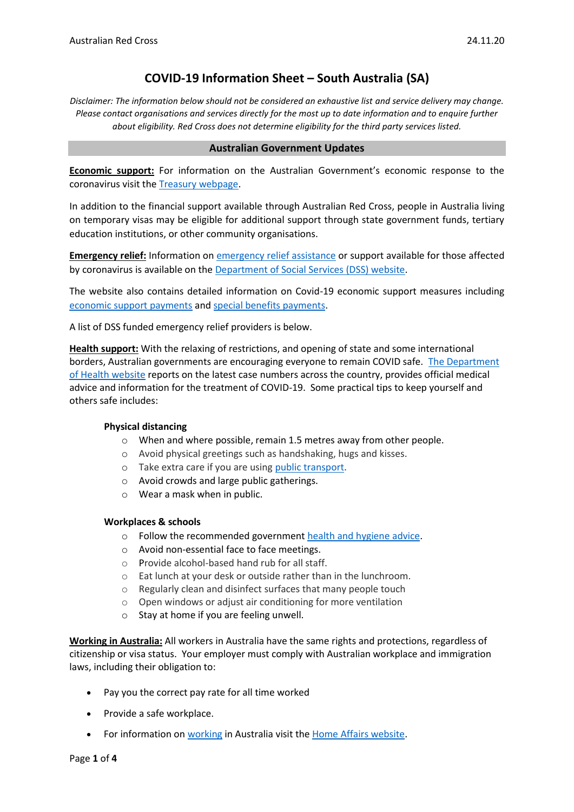# **COVID-19 Information Sheet – South Australia (SA)**

*Disclaimer: The information below should not be considered an exhaustive list and service delivery may change. Please contact organisations and services directly for the most up to date information and to enquire further about eligibility. Red Cross does not determine eligibility for the third party services listed.*

#### **Australian Government Updates**

**Economic support:** For information on the Australian Government's economic response to the coronavirus visit the [Treasury webpage.](https://treasury.gov.au/coronavirus)

In addition to the financial support available through Australian Red Cross, people in Australia living on temporary visas may be eligible for additional support through state government funds, tertiary education institutions, or other community organisations.

**Emergency relief:** Information o[n emergency relief assistance](https://www.dss.gov.au/about-the-department/coronavirus-covid-19-information-and-support/coronavirus-support-services) or support available for those affected by coronavirus is available on the [Department of Social Services \(DSS\) website.](https://www.dss.gov.au/about-the-department/coronavirus-covid-19-information-and-support)

The website also contains detailed information on Covid-19 economic support measures including [economic support payments](https://www.servicesaustralia.gov.au/individuals/subjects/coronavirus-covid-19-and-how-we-may-help) and [special benefits payments.](https://www.servicesaustralia.gov.au/individuals/services/centrelink/special-benefit)

A list of DSS funded emergency relief providers is below.

**Health support:** With the relaxing of restrictions, and opening of state and some international borders, Australian governments are encouraging everyone to remain COVID safe. [The Department](https://www.health.gov.au/news/health-alerts/novel-coronavirus-2019-ncov-health-alert)  [of Health website](https://www.health.gov.au/news/health-alerts/novel-coronavirus-2019-ncov-health-alert) reports on the latest case numbers across the country, provides official medical advice and information for the treatment of COVID-19. Some practical tips to keep yourself and others safe includes:

#### **Physical distancing**

- o When and where possible, remain 1.5 metres away from other people.
- o Avoid physical greetings such as handshaking, hugs and kisses.
- o Take extra care if you are using [public transport.](https://www.infrastructure.gov.au/transport/files/covid19_public_transport_principles_29052020.pdf)
- o Avoid crowds and large public gatherings.
- o Wear a mask when in public.

#### **Workplaces & schools**

- o Follow the recommended government [health and hygiene advice.](https://www.health.gov.au/news/health-alerts/novel-coronavirus-2019-ncov-health-alert/how-to-protect-yourself-and-others-from-coronavirus-covid-19/good-hygiene-for-coronavirus-covid-19)
- o Avoid non-essential face to face meetings.
- o Provide alcohol-based hand rub for all staff.
- o Eat lunch at your desk or outside rather than in the lunchroom.
- o Regularly clean and disinfect surfaces that many people touch
- o Open windows or adjust air conditioning for more ventilation
- o Stay at home if you are feeling unwell.

**Working in Australia:** All workers in Australia have the same rights and protections, regardless of citizenship or visa status. Your employer must comply with Australian workplace and immigration laws, including their obligation to:

- Pay you the correct pay rate for all time worked
- Provide a safe workplace.
- For information o[n working](https://immi.homeaffairs.gov.au/visas/getting-a-visa/visa-listing/student-500/temporary-relaxation-of-working-hours-for-student-visa-holders) in Australia visit the [Home Affairs website.](https://immi.homeaffairs.gov.au/visas/working-in-australia)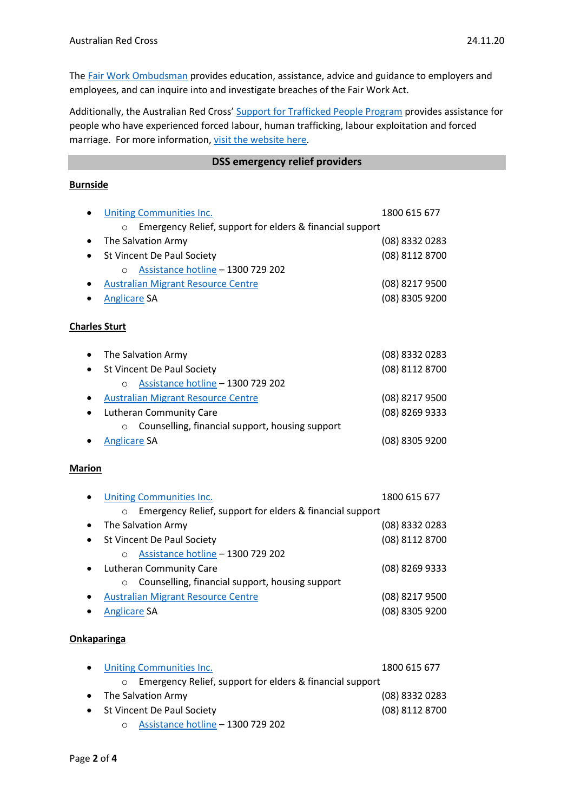The Fair Work [Ombudsman](https://www.fairwork.gov.au/) provides education, assistance, advice and guidance to employers and employees, and can inquire into and investigate breaches of the Fair Work Act.

Additionally, the Australian Red Cross' [Support for Trafficked People Program](https://www.redcross.org.au/get-help/help-for-migrants-in-transition/trafficked-people) provides assistance for people who have experienced forced labour, human trafficking, labour exploitation and forced marriage. For more information, [visit the website here.](https://www.redcross.org.au/get-help/help-for-migrants-in-transition/trafficked-people)

### **DSS emergency relief providers**

### **Burnside**

|                      | <b>Uniting Communities Inc.</b>                                     | 1800 615 677   |
|----------------------|---------------------------------------------------------------------|----------------|
|                      | Emergency Relief, support for elders & financial support<br>$\circ$ |                |
|                      | The Salvation Army                                                  | (08) 8332 0283 |
|                      | St Vincent De Paul Society                                          | (08) 8112 8700 |
|                      | Assistance hotline - 1300 729 202<br>$\circ$                        |                |
| ٠                    | <b>Australian Migrant Resource Centre</b>                           | (08) 8217 9500 |
|                      | <b>Anglicare SA</b>                                                 | (08) 8305 9200 |
| <b>Charles Sturt</b> |                                                                     |                |
| $\bullet$            | The Salvation Army                                                  | (08) 8332 0283 |
| $\bullet$            | St Vincent De Paul Society                                          | (08) 8112 8700 |
|                      | Assistance hotline - 1300 729 202<br>$\circ$                        |                |
| ٠                    | <b>Australian Migrant Resource Centre</b>                           | (08) 8217 9500 |
|                      | Lutheran Community Care                                             | (08) 8269 9333 |
|                      | Counselling, financial support, housing support<br>$\circ$          |                |
|                      | <b>Anglicare SA</b>                                                 | (08) 8305 9200 |
| <b>Marion</b>        |                                                                     |                |
|                      | <b>Uniting Communities Inc.</b>                                     | 1800 615 677   |
|                      | Emergency Relief, support for elders & financial support<br>$\circ$ |                |
| $\bullet$            | The Salvation Army                                                  | (08) 8332 0283 |
| $\bullet$            | St Vincent De Paul Society                                          | (08) 8112 8700 |
|                      | Assistance hotline - 1300 729 202<br>$\circ$                        |                |
| $\bullet$            | <b>Lutheran Community Care</b>                                      | (08) 8269 9333 |
|                      | Counselling, financial support, housing support<br>O                |                |
|                      | <b>Australian Migrant Resource Centre</b>                           | (08) 8217 9500 |
|                      | <b>Anglicare SA</b>                                                 | (08) 8305 9200 |
| <b>Onkaparinga</b>   |                                                                     |                |

| $\bullet$ | Uniting Communities Inc.                                   | 1800 615 677   |
|-----------|------------------------------------------------------------|----------------|
|           | ○ Emergency Relief, support for elders & financial support |                |
|           | • The Salvation Army                                       | (08) 8332 0283 |
|           | • St Vincent De Paul Society                               | (08) 8112 8700 |
|           | o Assistance hotline - 1300 729 202                        |                |

Page **2** of **4**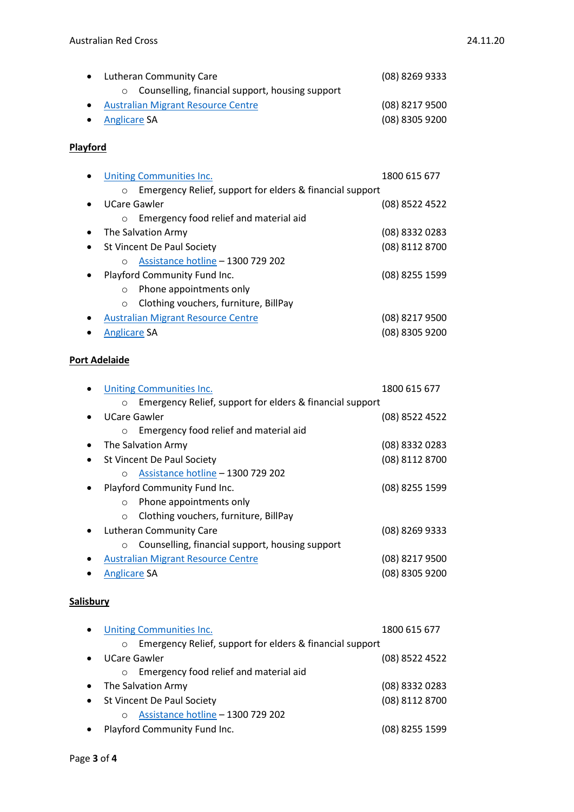| Lutheran Community Care                                    | (08) 8269 9333 |
|------------------------------------------------------------|----------------|
| Counselling, financial support, housing support<br>$\circ$ |                |
| <b>Australian Migrant Resource Centre</b>                  | (08) 8217 9500 |
| <b>Anglicare SA</b>                                        | (08) 8305 9200 |
| <b>Playford</b>                                            |                |

|                     | Uniting Communities Inc.                                 | 1800 615 677     |
|---------------------|----------------------------------------------------------|------------------|
| $\circ$             | Emergency Relief, support for elders & financial support |                  |
|                     | UCare Gawler                                             | (08) 8522 4522   |
| $\circ$             | Emergency food relief and material aid                   |                  |
|                     | The Salvation Army                                       | $(08)$ 8332 0283 |
|                     | St Vincent De Paul Society                               | (08) 8112 8700   |
| $\Omega$            | Assistance hotline - 1300 729 202                        |                  |
|                     | Playford Community Fund Inc.                             | (08) 8255 1599   |
| O                   | Phone appointments only                                  |                  |
| $\Omega$            | Clothing vouchers, furniture, BillPay                    |                  |
|                     | <b>Australian Migrant Resource Centre</b>                | (08) 8217 9500   |
| <b>Anglicare SA</b> |                                                          | (08) 8305 9200   |

# **Port Adelaide**

| <b>Uniting Communities Inc.</b>                                     | 1800 615 677     |
|---------------------------------------------------------------------|------------------|
| Emergency Relief, support for elders & financial support<br>$\circ$ |                  |
| UCare Gawler<br>$\bullet$                                           | (08) 8522 4522   |
| Emergency food relief and material aid<br>$\circ$                   |                  |
| The Salvation Army<br>$\bullet$                                     | (08) 8332 0283   |
| St Vincent De Paul Society<br>$\bullet$                             | (08) 8112 8700   |
| Assistance hotline - 1300 729 202<br>$\Omega$                       |                  |
| Playford Community Fund Inc.<br>٠                                   | (08) 8255 1599   |
| Phone appointments only<br>$\circ$                                  |                  |
| Clothing vouchers, furniture, BillPay<br>$\Omega$                   |                  |
| Lutheran Community Care<br>$\bullet$                                | (08) 8269 9333   |
| Counselling, financial support, housing support<br>$\circ$          |                  |
| <b>Australian Migrant Resource Centre</b><br>٠                      | (08) 8217 9500   |
| <b>Anglicare SA</b>                                                 | $(08)$ 8305 9200 |
|                                                                     |                  |
| Salisbury                                                           |                  |

| JUIIJNUI |  |  |  |
|----------|--|--|--|
|          |  |  |  |
|          |  |  |  |
|          |  |  |  |

| <b>Uniting Communities Inc.</b>                                     | 1800 615 677   |
|---------------------------------------------------------------------|----------------|
| Emergency Relief, support for elders & financial support<br>$\circ$ |                |
| <b>UCare Gawler</b>                                                 | (08) 8522 4522 |
| Emergency food relief and material aid<br>$\circ$                   |                |
| The Salvation Army                                                  | (08) 8332 0283 |
| St Vincent De Paul Society                                          | (08) 8112 8700 |
| Assistance hotline - 1300 729 202<br>$\Omega$                       |                |
| Playford Community Fund Inc.                                        | (08) 8255 1599 |